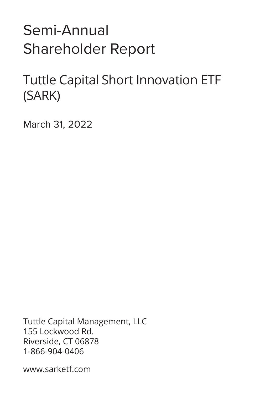# Semi-Annual Shareholder Report

Tuttle Capital Short Innovation ETF (SARK)

March 31, 2022

Tuttle Capital Management, LLC 155 Lockwood Rd. Riverside, CT 06878 1-866-904-0406

www.sarketf.com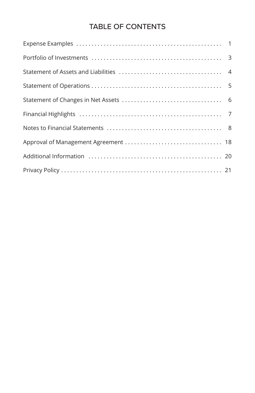## TABLE OF CONTENTS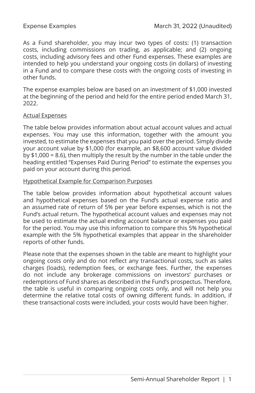As a Fund shareholder, you may incur two types of costs: (1) transaction costs, including commissions on trading, as applicable; and (2) ongoing costs, including advisory fees and other Fund expenses. These examples are intended to help you understand your ongoing costs (in dollars) of investing in a Fund and to compare these costs with the ongoing costs of investing in other funds.

The expense examples below are based on an investment of \$1,000 invested at the beginning of the period and held for the entire period ended March 31, 2022.

#### Actual Expenses

The table below provides information about actual account values and actual expenses. You may use this information, together with the amount you invested, to estimate the expenses that you paid over the period. Simply divide your account value by \$1,000 (for example, an \$8,600 account value divided by  $$1,000 = 8.6$ ), then multiply the result by the number in the table under the heading entitled "Expenses Paid During Period" to estimate the expenses you paid on your account during this period.

#### Hypothetical Example for Comparison Purposes

The table below provides information about hypothetical account values and hypothetical expenses based on the Fund's actual expense ratio and an assumed rate of return of 5% per year before expenses, which is not the Fund's actual return. The hypothetical account values and expenses may not be used to estimate the actual ending account balance or expenses you paid for the period. You may use this information to compare this 5% hypothetical example with the 5% hypothetical examples that appear in the shareholder reports of other funds.

Please note that the expenses shown in the table are meant to highlight your ongoing costs only and do not reflect any transactional costs, such as sales charges (loads), redemption fees, or exchange fees. Further, the expenses do not include any brokerage commissions on investors' purchases or redemptions of Fund shares as described in the Fund's prospectus. Therefore, the table is useful in comparing ongoing costs only, and will not help you determine the relative total costs of owning different funds. In addition, if these transactional costs were included, your costs would have been higher.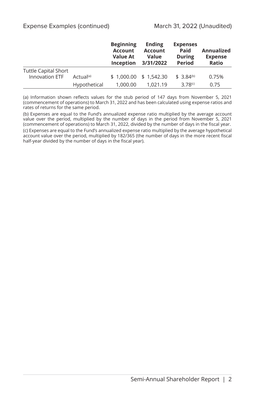|                             |                       | <b>Beginning</b><br><b>Account</b><br><b>Value At</b><br>Inception | <b>Ending</b><br><b>Account</b><br>Value<br>3/31/2022 | <b>Expenses</b><br>Paid<br><b>During</b><br>Period | Annualized<br><b>Expense</b><br><b>Ratio</b> |
|-----------------------------|-----------------------|--------------------------------------------------------------------|-------------------------------------------------------|----------------------------------------------------|----------------------------------------------|
| <b>Tuttle Capital Short</b> |                       |                                                                    |                                                       |                                                    |                                              |
| Innovation ETF              | Actual <sup>(a)</sup> | \$1.000.00                                                         | \$1,542.30                                            | $$3.84^{(b)}$                                      | 0.75%                                        |
|                             | Hypothetical          | 1,000.00                                                           | 1.021.19                                              | 3.78 <sup>(c)</sup>                                | 0.75                                         |

(a) Information shown reflects values for the stub period of 147 days from November 5, 2021 (commencement of operations) to March 31, 2022 and has been calculated using expense ratios and rates of returns for the same period.

(b) Expenses are equal to the Fund's annualized expense ratio multiplied by the average account value over the period, multiplied by the number of days in the period from November 5, 2021 (commencement of operations) to March 31, 2022, divided by the number of days in the fiscal year.

(c) Expenses are equal to the Fund's annualized expense ratio multiplied by the average hypothetical account value over the period, multiplied by 182/365 (the number of days in the more recent fiscal half-year divided by the number of days in the fiscal year).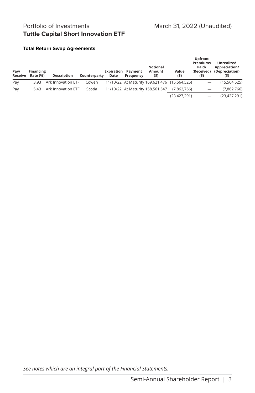### Portfolio of Investments March 31, 2022 (Unaudited) **Tuttle Capital Short Innovation ETF**

#### **Total Return Swap Agreements**

| Pay/<br>Receive | <b>Financing</b><br><b>Rate (%)</b> | <b>Description</b> | Counterparty | Date | <b>Expiration Payment</b><br>Frequency | <b>Notional</b><br>Amount<br>(5) | Value<br>$($ \$)                              | Upfront<br>Premiums<br>Paid/<br>(Received)<br>(5) | Unrealized<br>Appreciation/<br>(Depreciation)<br>(5) |
|-----------------|-------------------------------------|--------------------|--------------|------|----------------------------------------|----------------------------------|-----------------------------------------------|---------------------------------------------------|------------------------------------------------------|
| Pay             | 3.93                                | Ark Innovation ETF | Cowen        |      |                                        |                                  | 11/10/22 At Maturity 169,621,476 (15,564,525) |                                                   | (15, 564, 525)                                       |
| Pay             | 5.43                                | Ark Innovation ETF | Scotia       |      |                                        | 11/10/22 At Maturity 158,561,547 | (7.862.766)                                   |                                                   | (7.862.766)                                          |
|                 |                                     |                    |              |      |                                        |                                  | (23, 427, 291)                                |                                                   | (23, 427, 291)                                       |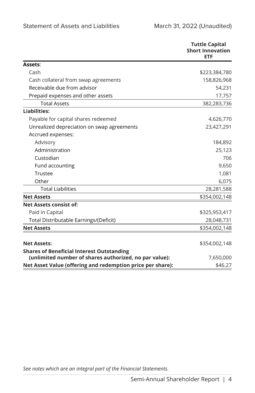|                                                                                                            | <b>Tuttle Capital</b><br><b>Short Innovation</b><br><b>FTF</b> |
|------------------------------------------------------------------------------------------------------------|----------------------------------------------------------------|
| Assets:                                                                                                    |                                                                |
| Cash                                                                                                       | \$223,384,780                                                  |
| Cash collateral from swap agreements                                                                       | 158,826,968                                                    |
| Receivable due from advisor                                                                                | 54.231                                                         |
| Prepaid expenses and other assets                                                                          | 17,757                                                         |
| <b>Total Assets</b>                                                                                        | 382,283,736                                                    |
| Liabilities:                                                                                               |                                                                |
| Payable for capital shares redeemed                                                                        | 4,626,770                                                      |
| Unrealized depreciation on swap agreements                                                                 | 23,427,291                                                     |
| Accrued expenses:                                                                                          |                                                                |
| Advisory                                                                                                   | 184,892                                                        |
| Administration                                                                                             | 25,123                                                         |
| Custodian                                                                                                  | 706                                                            |
| Fund accounting                                                                                            | 9,650                                                          |
| Trustee                                                                                                    | 1,081                                                          |
| Other                                                                                                      | 6,075                                                          |
| <b>Total Liabilities</b>                                                                                   | 28,281,588                                                     |
| <b>Net Assets</b>                                                                                          | \$354,002,148                                                  |
| <b>Net Assets consist of:</b>                                                                              |                                                                |
| Paid in Capital                                                                                            | \$325,953,417                                                  |
| Total Distributable Earnings/(Deficit)                                                                     | 28,048,731                                                     |
| <b>Net Assets</b>                                                                                          | \$354,002,148                                                  |
| <b>Net Assets:</b>                                                                                         | \$354,002,148                                                  |
| <b>Shares of Beneficial Interest Outstanding</b><br>(unlimited number of shares authorized, no par value): | 7,650,000                                                      |
| Net Asset Value (offering and redemption price per share):                                                 | \$46.27                                                        |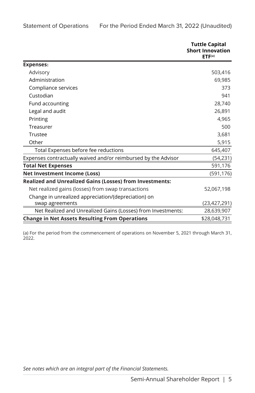|                                                                        | <b>Tuttle Capital</b><br><b>Short Innovation</b><br>ETF <sup>(a)</sup> |
|------------------------------------------------------------------------|------------------------------------------------------------------------|
| <b>Expenses:</b>                                                       |                                                                        |
| Advisory                                                               | 503,416                                                                |
| Administration                                                         | 69,985                                                                 |
| Compliance services                                                    | 373                                                                    |
| Custodian                                                              | 941                                                                    |
| Fund accounting                                                        | 28,740                                                                 |
| Legal and audit                                                        | 26,891                                                                 |
| Printing                                                               | 4,965                                                                  |
| Treasurer                                                              | 500                                                                    |
| Trustee                                                                | 3.681                                                                  |
| Other                                                                  | 5,915                                                                  |
| Total Expenses before fee reductions                                   | 645,407                                                                |
| Expenses contractually waived and/or reimbursed by the Advisor         | (54, 231)                                                              |
| <b>Total Net Expenses</b>                                              | 591,176                                                                |
| Net Investment Income (Loss)                                           | (591, 176)                                                             |
| <b>Realized and Unrealized Gains (Losses) from Investments:</b>        |                                                                        |
| Net realized gains (losses) from swap transactions                     | 52,067,198                                                             |
| Change in unrealized appreciation/(depreciation) on<br>swap agreements | (23, 427, 291)                                                         |
| Net Realized and Unrealized Gains (Losses) from Investments:           | 28,639,907                                                             |
| <b>Change in Net Assets Resulting From Operations</b>                  | \$28,048,731                                                           |

(a) For the period from the commencement of operations on November 5, 2021 through March 31, 2022.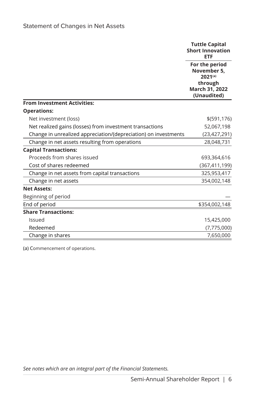|                                                                 | <b>Tuttle Capital</b><br><b>Short Innovation</b><br><b>ETF</b>                            |
|-----------------------------------------------------------------|-------------------------------------------------------------------------------------------|
|                                                                 | For the period<br>November 5,<br>$2021^{(a)}$<br>through<br>March 31, 2022<br>(Unaudited) |
| <b>From Investment Activities:</b>                              |                                                                                           |
| <b>Operations:</b>                                              |                                                                                           |
| Net investment (loss)                                           | $$$ (591,176)                                                                             |
| Net realized gains (losses) from investment transactions        | 52,067,198                                                                                |
| Change in unrealized appreciation/(depreciation) on investments | (23, 427, 291)                                                                            |
| Change in net assets resulting from operations                  | 28,048,731                                                                                |
| <b>Capital Transactions:</b>                                    |                                                                                           |
| Proceeds from shares issued                                     | 693,364,616                                                                               |
| Cost of shares redeemed                                         | (367,411,199)                                                                             |
| Change in net assets from capital transactions                  | 325,953,417                                                                               |
| Change in net assets                                            | 354,002,148                                                                               |
| <b>Net Assets:</b>                                              |                                                                                           |
| Beginning of period                                             |                                                                                           |
| End of period                                                   | \$354,002,148                                                                             |
| <b>Share Transactions:</b>                                      |                                                                                           |
| Issued                                                          | 15,425,000                                                                                |
| Redeemed                                                        | (7,775,000)                                                                               |
| Change in shares                                                | 7,650,000                                                                                 |

(a) Commencement of operations.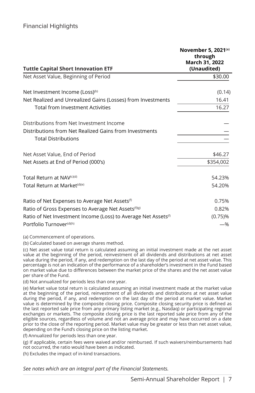#### Financial Highlights

| <b>Tuttle Capital Short Innovation ETF</b>                                 | November 5, 2021(a)<br>through<br>March 31, 2022<br>(Unaudited) |
|----------------------------------------------------------------------------|-----------------------------------------------------------------|
| Net Asset Value, Beginning of Period                                       | \$30.00                                                         |
| Net Investment Income (Loss) <sup>(b)</sup>                                | (0.14)                                                          |
| Net Realized and Unrealized Gains (Losses) from Investments                | 16.41                                                           |
| Total from Investment Activities                                           | 16.27                                                           |
| Distributions from Net Investment Income                                   |                                                                 |
| Distributions from Net Realized Gains from Investments                     |                                                                 |
| <b>Total Distributions</b>                                                 |                                                                 |
| Net Asset Value, End of Period                                             | \$46.27                                                         |
| Net Assets at End of Period (000's)                                        | \$354,002                                                       |
| Total Return at NAV <sup>(c)(d)</sup>                                      | 54.23%                                                          |
| Total Return at Market <sup>(d)(e)</sup>                                   | 54.20%                                                          |
| Ratio of Net Expenses to Average Net Assets <sup>(f)</sup>                 | 0.75%                                                           |
| Ratio of Gross Expenses to Average Net Assets <sup>(f)(g)</sup>            | 0.82%                                                           |
| Ratio of Net Investment Income (Loss) to Average Net Assets <sup>(f)</sup> | (0.75)%                                                         |
| Portfolio Turnover <sup>(d)(h)</sup>                                       | $-$ %                                                           |

(a) Commencement of operations.

(b) Calculated based on average shares method.

(c) Net asset value total return is calculated assuming an initial investment made at the net asset value at the beginning of the period, reinvestment of all dividends and distributions at net asset value during the period, if any, and redemption on the last day of the period at net asset value. This percentage is not an indication of the performance of a shareholder's investment in the Fund based on market value due to differences between the market price of the shares and the net asset value per share of the Fund.

(d) Not annualized for periods less than one year.

(e) Market value total return is calculated assuming an initial investment made at the market value at the beginning of the period, reinvestment of all dividends and distributions at net asset value during the period, if any, and redemption on the last day of the period at market value. Market value is determined by the composite closing price. Composite closing security price is defined as the last reported sale price from any primary listing market (e.g., Nasdaq) or participating regional exchanges or markets. The composite closing price is the last reported sale price from any of the eligible sources, regardless of volume and not an average price and may have occurred on a date prior to the close of the reporting period. Market value may be greater or less than net asset value, depending on the Fund's closing price on the listing market.

(f) Annualized for periods less than one year.

(g) If applicable, certain fees were waived and/or reimbursed. If such waivers/reimbursements had not occurred, the ratio would have been as indicated.

(h) Excludes the impact of in-kind transactions.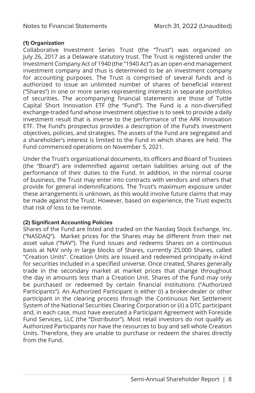#### **(1) Organization**

Collaborative Investment Series Trust (the "Trust") was organized on July 26, 2017 as a Delaware statutory trust. The Trust is registered under the Investment Company Act of 1940 (the "1940 Act") as an open-end management investment company and thus is determined to be an investment company for accounting purposes. The Trust is comprised of several funds and is authorized to issue an unlimited number of shares of beneficial interest ("Shares") in one or more series representing interests in separate portfolios of securities. The accompanying financial statements are those of Tuttle Capital Short Innovation ETF (the "Fund"). The Fund is a non-diversified exchange-traded fund whose investment objective is to seek to provide a daily investment result that is inverse to the performance of the ARK Innovation ETF. The Fund's prospectus provides a description of the Fund's investment objectives, policies, and strategies. The assets of the Fund are segregated and a shareholder's interest is limited to the Fund in which shares are held. The Fund commenced operations on November 5, 2021.

Under the Trust's organizational documents, its officers and Board of Trustees (the "Board") are indemnified against certain liabilities arising out of the performance of their duties to the Fund. In addition, in the normal course of business, the Trust may enter into contracts with vendors and others that provide for general indemnifications. The Trust's maximum exposure under these arrangements is unknown, as this would involve future claims that may be made against the Trust. However, based on experience, the Trust expects that risk of loss to be remote.

#### **(2) Significant Accounting Policies**

Shares of the Fund are listed and traded on the Nasdaq Stock Exchange, Inc. ("NASDAQ"). Market prices for the Shares may be different from their net asset value ("NAV"). The Fund issues and redeems Shares on a continuous basis at NAV only in large blocks of Shares, currently 25,000 Shares, called "Creation Units". Creation Units are issued and redeemed principally in-kind for securities included in a specified universe. Once created, Shares generally trade in the secondary market at market prices that change throughout the day in amounts less than a Creation Unit. Shares of the Fund may only be purchased or redeemed by certain financial institutions ("Authorized Participants"). An Authorized Participant is either (i) a broker-dealer or other participant in the clearing process through the Continuous Net Settlement System of the National Securities Clearing Corporation or (ii) a DTC participant and, in each case, must have executed a Participant Agreement with Foreside Fund Services, LLC (the "Distributor"). Most retail investors do not qualify as Authorized Participants nor have the resources to buy and sell whole Creation Units. Therefore, they are unable to purchase or redeem the shares directly from the Fund.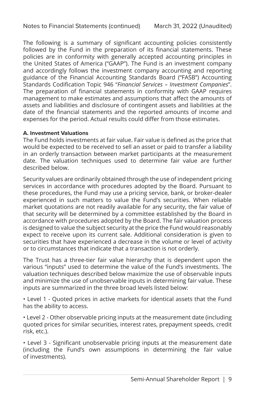Notes to Financial Statements (continued) March 31, 2022 (Unaudited)

The following is a summary of significant accounting policies consistently followed by the Fund in the preparation of its financial statements. These policies are in conformity with generally accepted accounting principles in the United States of America ("GAAP"). The Fund is an investment company and accordingly follows the investment company accounting and reporting guidance of the Financial Accounting Standards Board ("FASB") Accounting Standards Codification Topic 946 "*Financial Services – Investment Companies*". The preparation of financial statements in conformity with GAAP requires management to make estimates and assumptions that affect the amounts of assets and liabilities and disclosure of contingent assets and liabilities at the date of the financial statements and the reported amounts of income and expenses for the period. Actual results could differ from those estimates.

#### **A. Investment Valuations**

The Fund holds investments at fair value. Fair value is defined as the price that would be expected to be received to sell an asset or paid to transfer a liability in an orderly transaction between market participants at the measurement date. The valuation techniques used to determine fair value are further described below.

Security values are ordinarily obtained through the use of independent pricing services in accordance with procedures adopted by the Board. Pursuant to these procedures, the Fund may use a pricing service, bank, or broker-dealer experienced in such matters to value the Fund's securities. When reliable market quotations are not readily available for any security, the fair value of that security will be determined by a committee established by the Board in accordance with procedures adopted by the Board. The fair valuation process is designed to value the subject security at the price the Fund would reasonably expect to receive upon its current sale. Additional consideration is given to securities that have experienced a decrease in the volume or level of activity or to circumstances that indicate that a transaction is not orderly.

The Trust has a three-tier fair value hierarchy that is dependent upon the various "inputs" used to determine the value of the Fund's investments. The valuation techniques described below maximize the use of observable inputs and minimize the use of unobservable inputs in determining fair value. These inputs are summarized in the three broad levels listed below:

• Level 1 - Quoted prices in active markets for identical assets that the Fund has the ability to access.

• Level 2 - Other observable pricing inputs at the measurement date (including quoted prices for similar securities, interest rates, prepayment speeds, credit risk, etc.).

• Level 3 - Significant unobservable pricing inputs at the measurement date (including the Fund's own assumptions in determining the fair value of investments).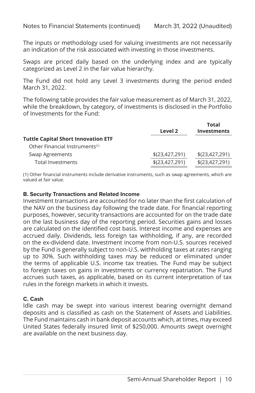The inputs or methodology used for valuing investments are not necessarily an indication of the risk associated with investing in those investments.

Swaps are priced daily based on the underlying index and are typically categorized as Level 2 in the fair value hierarchy.

The Fund did not hold any Level 3 investments during the period ended March 31, 2022.

The following table provides the fair value measurement as of March 31, 2022, while the breakdown, by category, of investments is disclosed in the Portfolio of Investments for the Fund:

|                                            | Level 2          | <b>Total</b><br><b>Investments</b> |
|--------------------------------------------|------------------|------------------------------------|
| <b>Tuttle Capital Short Innovation ETF</b> |                  |                                    |
| Other Financial Instruments <sup>(1)</sup> |                  |                                    |
| Swap Agreements                            | \$(23, 427, 291) | \$(23, 427, 291)                   |
| <b>Total Investments</b>                   | \$(23, 427, 291) | \$(23, 427, 291)                   |

(1) Other financial instruments include derivative instruments, such as swap agreements, which are valued at fair value.

#### **B. Security Transactions and Related Income**

Investment transactions are accounted for no later than the first calculation of the NAV on the business day following the trade date. For financial reporting purposes, however, security transactions are accounted for on the trade date on the last business day of the reporting period. Securities gains and losses are calculated on the identified cost basis. Interest income and expenses are accrued daily. Dividends, less foreign tax withholding, if any, are recorded on the ex-dividend date. Investment income from non-U.S. sources received by the Fund is generally subject to non-U.S. withholding taxes at rates ranging up to 30%. Such withholding taxes may be reduced or eliminated under the terms of applicable U.S. income tax treaties. The Fund may be subject to foreign taxes on gains in investments or currency repatriation. The Fund accrues such taxes, as applicable, based on its current interpretation of tax rules in the foreign markets in which it invests.

#### **C. Cash**

Idle cash may be swept into various interest bearing overnight demand deposits and is classified as cash on the Statement of Assets and Liabilities. The Fund maintains cash in bank deposit accounts which, at times, may exceed United States federally insured limit of \$250,000. Amounts swept overnight are available on the next business day.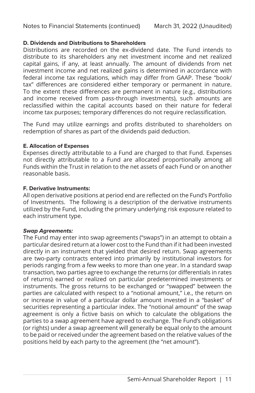Notes to Financial Statements (continued) March 31, 2022 (Unaudited)

#### **D. Dividends and Distributions to Shareholders**

Distributions are recorded on the ex-dividend date. The Fund intends to distribute to its shareholders any net investment income and net realized capital gains, if any, at least annually. The amount of dividends from net investment income and net realized gains is determined in accordance with federal income tax regulations, which may differ from GAAP. These "book/ tax" differences are considered either temporary or permanent in nature. To the extent these differences are permanent in nature (e.g., distributions and income received from pass-through investments), such amounts are reclassified within the capital accounts based on their nature for federal income tax purposes; temporary differences do not require reclassification.

The Fund may utilize earnings and profits distributed to shareholders on redemption of shares as part of the dividends paid deduction.

#### **E. Allocation of Expenses**

Expenses directly attributable to a Fund are charged to that Fund. Expenses not directly attributable to a Fund are allocated proportionally among all Funds within the Trust in relation to the net assets of each Fund or on another reasonable basis.

#### **F. Derivative Instruments:**

All open derivative positions at period end are reflected on the Fund's Portfolio of Investments. The following is a description of the derivative instruments utilized by the Fund, including the primary underlying risk exposure related to each instrument type.

#### *Swap Agreements:*

The Fund may enter into swap agreements ("swaps") in an attempt to obtain a particular desired return at a lower cost to the Fund than if it had been invested directly in an instrument that yielded that desired return. Swap agreements are two-party contracts entered into primarily by institutional investors for periods ranging from a few weeks to more than one year. In a standard swap transaction, two parties agree to exchange the returns (or differentials in rates of returns) earned or realized on particular predetermined investments or instruments. The gross returns to be exchanged or "swapped" between the parties are calculated with respect to a "notional amount," i.e., the return on or increase in value of a particular dollar amount invested in a "basket" of securities representing a particular index. The "notional amount" of the swap agreement is only a fictive basis on which to calculate the obligations the parties to a swap agreement have agreed to exchange. The Fund's obligations (or rights) under a swap agreement will generally be equal only to the amount to be paid or received under the agreement based on the relative values of the positions held by each party to the agreement (the "net amount").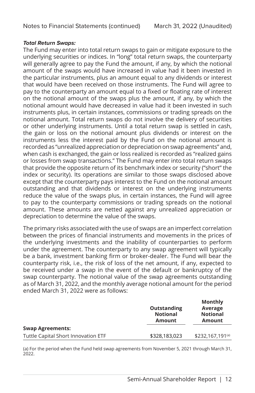#### *Total Return Swaps:*

The Fund may enter into total return swaps to gain or mitigate exposure to the underlying securities or indices. In "long" total return swaps, the counterparty will generally agree to pay the Fund the amount, if any, by which the notional amount of the swaps would have increased in value had it been invested in the particular instruments, plus an amount equal to any dividends or interest that would have been received on those instruments. The Fund will agree to pay to the counterparty an amount equal to a fixed or floating rate of interest on the notional amount of the swaps plus the amount, if any, by which the notional amount would have decreased in value had it been invested in such instruments plus, in certain instances, commissions or trading spreads on the notional amount. Total return swaps do not involve the delivery of securities or other underlying instruments. Until a total return swap is settled in cash, the gain or loss on the notional amount plus dividends or interest on the instruments less the interest paid by the Fund on the notional amount is recorded as "unrealized appreciation or depreciation on swap agreements" and, when cash is exchanged, the gain or loss realized is recorded as "realized gains or losses from swap transactions." The Fund may enter into total return swaps that provide the opposite return of its benchmark index or security ("short" the index or security). Its operations are similar to those swaps disclosed above except that the counterparty pays interest to the Fund on the notional amount outstanding and that dividends or interest on the underlying instruments reduce the value of the swaps plus, in certain instances, the Fund will agree to pay to the counterparty commissions or trading spreads on the notional amount. These amounts are netted against any unrealized appreciation or depreciation to determine the value of the swaps.

The primary risks associated with the use of swaps are an imperfect correlation between the prices of financial instruments and movements in the prices of the underlying investments and the inability of counterparties to perform under the agreement. The counterparty to any swap agreement will typically be a bank, investment banking firm or broker-dealer. The Fund will bear the counterparty risk, i.e., the risk of loss of the net amount, if any, expected to be received under a swap in the event of the default or bankruptcy of the swap counterparty. The notional value of the swap agreements outstanding as of March 31, 2022, and the monthly average notional amount for the period ended March 31, 2022 were as follows:

|                                     | Outstanding<br><b>Notional</b><br><b>Amount</b> | Monthly<br>Average<br><b>Notional</b><br>Amount |
|-------------------------------------|-------------------------------------------------|-------------------------------------------------|
| <b>Swap Agreements:</b>             |                                                 |                                                 |
| Tuttle Capital Short Innovation ETF | \$328,183,023                                   | \$232,167,191 <sup>(a)</sup>                    |

(a) For the period when the Fund held swap agreements from November 5, 2021 through March 31, 2022.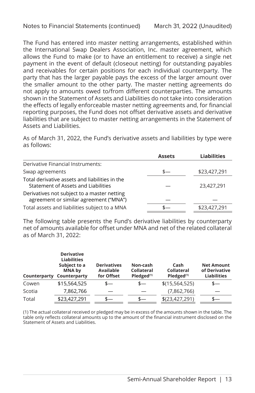The Fund has entered into master netting arrangements, established within the International Swap Dealers Association, Inc. master agreement, which allows the Fund to make (or to have an entitlement to receive) a single net payment in the event of default (closeout netting) for outstanding payables and receivables for certain positions for each individual counterparty. The party that has the larger payable pays the excess of the larger amount over the smaller amount to the other party. The master netting agreements do not apply to amounts owed to/from different counterparties. The amounts shown in the Statement of Assets and Liabilities do not take into consideration the effects of legally enforceable master netting agreements and, for financial reporting purposes, the Fund does not offset derivative assets and derivative liabilities that are subject to master netting arrangements in the Statement of Assets and Liabilities.

As of March 31, 2022, the Fund's derivative assets and liabilities by type were as follows:

|                                                                                       | <b>Assets</b> | <b>Liabilities</b> |
|---------------------------------------------------------------------------------------|---------------|--------------------|
| Derivative Financial Instruments:                                                     |               |                    |
| Swap agreements                                                                       | $\mathbf{S}-$ | \$23,427,291       |
| Total derivative assets and liabilities in the<br>Statement of Assets and Liabilities |               | 23.427.291         |
| Derivatives not subject to a master netting<br>agreement or similar agreement ("MNA") |               |                    |
| Total assets and liabilities subject to a MNA                                         |               | \$23,427,291       |

The following table presents the Fund's derivative liabilities by counterparty net of amounts available for offset under MNA and net of the related collateral as of March 31, 2022:

| Counterparty | <b>Derivative</b><br><b>Liabilities</b><br>Subject to a<br><b>MNA by</b><br>Counterparty | <b>Derivatives</b><br>Available<br>for Offset | Non-cash<br>Collateral<br>$P$ ledged $(1)$ | Cash<br><b>Collateral</b><br>$P$ ledged $(1)$ | <b>Net Amount</b><br>of Derivative<br><b>Liabilities</b> |
|--------------|------------------------------------------------------------------------------------------|-----------------------------------------------|--------------------------------------------|-----------------------------------------------|----------------------------------------------------------|
| Cowen        | \$15,564,525                                                                             | s—                                            | s—                                         | \$(15,564,525)                                | s—                                                       |
| Scotia       | 7,862,766                                                                                |                                               |                                            | (7,862,766)                                   |                                                          |
| Total        | \$23,427,291                                                                             | s—                                            | $S-$                                       | \$(23, 427, 291)                              | ⊾թ                                                       |

(1) The actual collateral received or pledged may be in excess of the amounts shown in the table. The table only reflects collateral amounts up to the amount of the financial instrument disclosed on the Statement of Assets and Liabilities.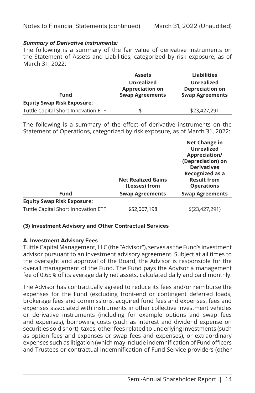#### *Summary of Derivative Instruments:*

The following is a summary of the fair value of derivative instruments on the Statement of Assets and Liabilities, categorized by risk exposure, as of March 31, 2022:

|                                     | <b>Assets</b>                                                         | <b>Liabilities</b>                                                    |
|-------------------------------------|-----------------------------------------------------------------------|-----------------------------------------------------------------------|
| Fund                                | <b>Unrealized</b><br><b>Appreciation on</b><br><b>Swap Agreements</b> | <b>Unrealized</b><br><b>Depreciation on</b><br><b>Swap Agreements</b> |
| <b>Equity Swap Risk Exposure:</b>   |                                                                       |                                                                       |
| Tuttle Capital Short Innovation ETF |                                                                       | \$23,427,291                                                          |

The following is a summary of the effect of derivative instruments on the Statement of Operations, categorized by risk exposure, as of March 31, 2022:

|                                     | <b>Net Realized Gains</b><br>(Losses) from | Net Change in<br><b>Unrealized</b><br>Appreciation/<br>(Depreciation) on<br><b>Derivatives</b><br>Recognized as a<br><b>Result from</b><br><b>Operations</b> |
|-------------------------------------|--------------------------------------------|--------------------------------------------------------------------------------------------------------------------------------------------------------------|
| <b>Fund</b>                         | <b>Swap Agreements</b>                     | <b>Swap Agreements</b>                                                                                                                                       |
| <b>Equity Swap Risk Exposure:</b>   |                                            |                                                                                                                                                              |
| Tuttle Capital Short Innovation ETF | \$52,067,198                               | \$(23.427.291)                                                                                                                                               |

#### **(3) Investment Advisory and Other Contractual Services**

#### **A. Investment Advisory Fees**

Tuttle Capital Management, LLC (the "Advisor"), serves as the Fund's investment advisor pursuant to an investment advisory agreement. Subject at all times to the oversight and approval of the Board, the Advisor is responsible for the overall management of the Fund. The Fund pays the Advisor a management fee of 0.65% of its average daily net assets, calculated daily and paid monthly.

The Advisor has contractually agreed to reduce its fees and/or reimburse the expenses for the Fund (excluding front-end or contingent deferred loads, brokerage fees and commissions, acquired fund fees and expenses, fees and expenses associated with instruments in other collective investment vehicles or derivative instruments (including for example options and swap fees and expenses), borrowing costs (such as interest and dividend expense on securities sold short), taxes, other fees related to underlying investments (such as option fees and expenses or swap fees and expenses), or extraordinary expenses such as litigation (which may include indemnification of Fund officers and Trustees or contractual indemnification of Fund Service providers (other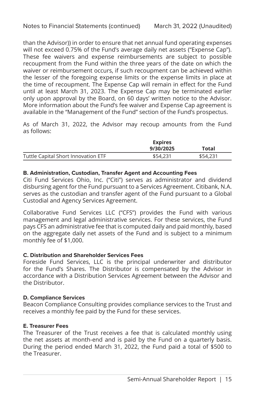than the Advisor)) in order to ensure that net annual fund operating expenses will not exceed 0.75% of the Fund's average daily net assets ("Expense Cap"). These fee waivers and expense reimbursements are subject to possible recoupment from the Fund within the three years of the date on which the waiver or reimbursement occurs, if such recoupment can be achieved within the lesser of the foregoing expense limits or the expense limits in place at the time of recoupment. The Expense Cap will remain in effect for the Fund until at least March 31, 2023. The Expense Cap may be terminated earlier only upon approval by the Board, on 60 days' written notice to the Advisor. More information about the Fund's fee waiver and Expense Cap agreement is available in the "Management of the Fund" section of the Fund's prospectus.

As of March 31, 2022, the Advisor may recoup amounts from the Fund as follows:

|                                     | <b>Expires</b> |          |
|-------------------------------------|----------------|----------|
|                                     | 9/30/2025      | Total    |
| Tuttle Capital Short Innovation ETF | \$54,231       | \$54,231 |

#### **B. Administration, Custodian, Transfer Agent and Accounting Fees**

Citi Fund Services Ohio, Inc. ("Citi") serves as administrator and dividend disbursing agent for the Fund pursuant to a Services Agreement. Citibank, N.A. serves as the custodian and transfer agent of the Fund pursuant to a Global Custodial and Agency Services Agreement.

Collaborative Fund Services LLC ("CFS") provides the Fund with various management and legal administrative services. For these services, the Fund pays CFS an administrative fee that is computed daily and paid monthly, based on the aggregate daily net assets of the Fund and is subject to a minimum monthly fee of \$1,000.

#### **C. Distribution and Shareholder Services Fees**

Foreside Fund Services, LLC is the principal underwriter and distributor for the Fund's Shares. The Distributor is compensated by the Advisor in accordance with a Distribution Services Agreement between the Advisor and the Distributor.

#### **D. Compliance Services**

Beacon Compliance Consulting provides compliance services to the Trust and receives a monthly fee paid by the Fund for these services.

#### **E. Treasurer Fees**

The Treasurer of the Trust receives a fee that is calculated monthly using the net assets at month-end and is paid by the Fund on a quarterly basis. During the period ended March 31, 2022, the Fund paid a total of \$500 to the Treasurer.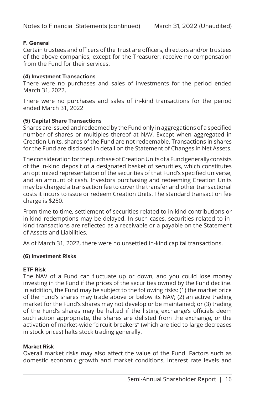#### **F. General**

Certain trustees and officers of the Trust are officers, directors and/or trustees of the above companies, except for the Treasurer, receive no compensation from the Fund for their services.

#### **(4) Investment Transactions**

There were no purchases and sales of investments for the period ended March 31, 2022.

There were no purchases and sales of in-kind transactions for the period ended March 31, 2022

#### **(5) Capital Share Transactions**

Shares are issued and redeemed by the Fund only in aggregations of a specified number of shares or multiples thereof at NAV. Except when aggregated in Creation Units, shares of the Fund are not redeemable. Transactions in shares for the Fund are disclosed in detail on the Statement of Changes in Net Assets.

The consideration for the purchase of Creation Units of a Fund generally consists of the in-kind deposit of a designated basket of securities, which constitutes an optimized representation of the securities of that Fund's specified universe, and an amount of cash. Investors purchasing and redeeming Creation Units may be charged a transaction fee to cover the transfer and other transactional costs it incurs to issue or redeem Creation Units. The standard transaction fee charge is \$250.

From time to time, settlement of securities related to in-kind contributions or in-kind redemptions may be delayed. In such cases, securities related to inkind transactions are reflected as a receivable or a payable on the Statement of Assets and Liabilities.

As of March 31, 2022, there were no unsettled in-kind capital transactions.

#### **(6) Investment Risks**

#### **ETF Risk**

The NAV of a Fund can fluctuate up or down, and you could lose money investing in the Fund if the prices of the securities owned by the Fund decline. In addition, the Fund may be subject to the following risks: (1) the market price of the Fund's shares may trade above or below its NAV; (2) an active trading market for the Fund's shares may not develop or be maintained; or (3) trading of the Fund's shares may be halted if the listing exchange's officials deem such action appropriate, the shares are delisted from the exchange, or the activation of market-wide "circuit breakers" (which are tied to large decreases in stock prices) halts stock trading generally.

#### **Market Risk**

Overall market risks may also affect the value of the Fund. Factors such as domestic economic growth and market conditions, interest rate levels and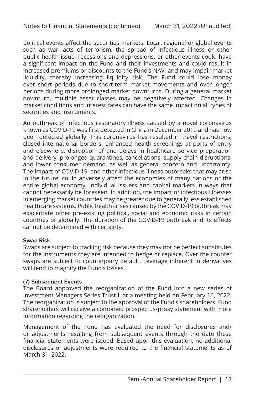political events affect the securities markets. Local, regional or global events such as war, acts of terrorism, the spread of infectious illness or other public health issue, recessions and depressions, or other events could have a significant impact on the Fund and their investments and could result in increased premiums or discounts to the Fund's NAV, and may impair market liquidity, thereby increasing liquidity risk. The Fund could lose money over short periods due to short-term market movements and over longer periods during more prolonged market downturns. During a general market downturn, multiple asset classes may be negatively affected. Changes in market conditions and interest rates can have the same impact on all types of securities and instruments.

An outbreak of infectious respiratory illness caused by a novel coronavirus known as COVID-19 was first detected in China in December 2019 and has now been detected globally. This coronavirus has resulted in travel restrictions, closed international borders, enhanced health screenings at ports of entry and elsewhere, disruption of and delays in healthcare service preparation and delivery, prolonged quarantines, cancellations, supply chain disruptions, and lower consumer demand, as well as general concern and uncertainty. The impact of COVID-19, and other infectious illness outbreaks that may arise in the future, could adversely affect the economies of many nations or the entire global economy, individual issuers and capital markets in ways that cannot necessarily be foreseen. In addition, the impact of infectious illnesses in emerging market countries may be greater due to generally less established healthcare systems. Public health crises caused by the COVID-19 outbreak may exacerbate other pre-existing political, social and economic risks in certain countries or globally. The duration of the COVID-19 outbreak and its effects cannot be determined with certainty.

#### **Swap Risk**

Swaps are subject to tracking risk because they may not be perfect substitutes for the instruments they are intended to hedge or replace. Over the counter swaps are subject to counterparty default. Leverage inherent in derivatives will tend to magnify the Fund's losses.

#### **(7) Subsequent Events**

The Board approved the reorganization of the Fund into a new series of Investment Managers Series Trust II at a meeting held on February 16, 2022. The reorganization is subject to the approval of the Fund's shareholders. Fund shareholders will receive a combined prospectus/proxy statement with more information regarding the reorganization.

Management of the Fund has evaluated the need for disclosures and/ or adjustments resulting from subsequent events through the date these financial statements were issued. Based upon this evaluation, no additional disclosures or adjustments were required to the financial statements as of March 31, 2022.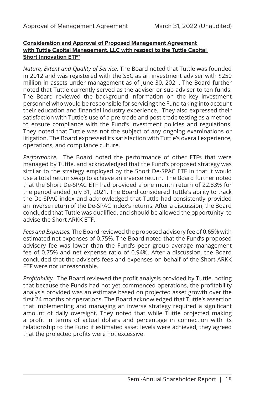#### **Consideration and Approval of Proposed Management Agreement with Tuttle Capital Management, LLC with respect to the Tuttle Capital Short Innovation ETF\***

*Nature, Extent and Quality of Service.* The Board noted that Tuttle was founded in 2012 and was registered with the SEC as an investment adviser with \$250 million in assets under management as of June 30, 2021. The Board further noted that Tuttle currently served as the adviser or sub-adviser to ten funds. The Board reviewed the background information on the key investment personnel who would be responsible for servicing the Fund taking into account their education and financial industry experience. They also expressed their satisfaction with Tuttle's use of a pre-trade and post-trade testing as a method to ensure compliance with the Fund's investment policies and regulations. They noted that Tuttle was not the subject of any ongoing examinations or litigation. The Board expressed its satisfaction with Tuttle's overall experience, operations, and compliance culture.

*Performance.* The Board noted the performance of other ETFs that were managed by Tuttle. and acknowledged that the Fund's proposed strategy was similar to the strategy employed by the Short De-SPAC ETF in that it would use a total return swap to achieve an inverse return. The Board further noted that the Short De-SPAC ETF had provided a one month return of 22.83% for the period ended July 31, 2021. The Board considered Tuttle's ability to track the De-SPAC index and acknowledged that Tuttle had consistently provided an inverse return of the De-SPAC Index's returns. After a discussion, the Board concluded that Tuttle was qualified, and should be allowed the opportunity, to advise the Short ARKK ETF.

*Fees and Expenses.* The Board reviewed the proposed advisory fee of 0.65% with estimated net expenses of 0.75%. The Board noted that the Fund's proposed advisory fee was lower than the Fund's peer group average management fee of 0.75% and net expense ratio of 0.94%. After a discussion, the Board concluded that the adviser's fees and expenses on behalf of the Short ARKK ETF were not unreasonable.

*Profitability.* The Board reviewed the profit analysis provided by Tuttle, noting that because the Funds had not yet commenced operations, the profitability analysis provided was an estimate based on projected asset growth over the first 24 months of operations. The Board acknowledged that Tuttle's assertion that implementing and managing an inverse strategy required a significant amount of daily oversight. They noted that while Tuttle projected making a profit in terms of actual dollars and percentage in connection with its relationship to the Fund if estimated asset levels were achieved, they agreed that the projected profits were not excessive.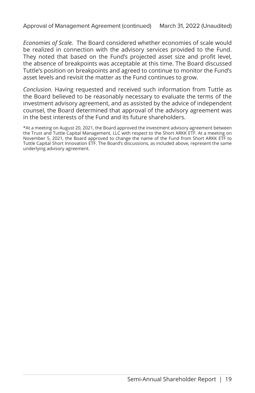*Economies of Scale.* The Board considered whether economies of scale would be realized in connection with the advisory services provided to the Fund. They noted that based on the Fund's projected asset size and profit level, the absence of breakpoints was acceptable at this time. The Board discussed Tuttle's position on breakpoints and agreed to continue to monitor the Fund's asset levels and revisit the matter as the Fund continues to grow.

*Conclusion.* Having requested and received such information from Tuttle as the Board believed to be reasonably necessary to evaluate the terms of the investment advisory agreement, and as assisted by the advice of independent counsel, the Board determined that approval of the advisory agreement was in the best interests of the Fund and its future shareholders.

\*At a meeting on August 20, 2021, the Board approved the investment advisory agreement between the Trust and Tuttle Capital Management, LLC with respect to the Short ARKK ETF. At a meeting on November 5, 2021, the Board approved to change the name of the Fund from Short ARKK ETF to Tuttle Capital Short Innovation ETF. The Board's discussions, as included above, represent the same underlying advisory agreement.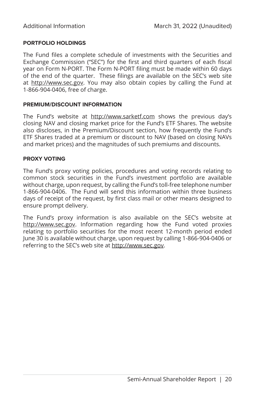#### **PORTFOLIO HOLDINGS**

The Fund files a complete schedule of investments with the Securities and Exchange Commission ("SEC") for the first and third quarters of each fiscal year on Form N-PORT. The Form N-PORT filing must be made within 60 days of the end of the quarter. These filings are available on the SEC's web site at http://www.sec.gov. You may also obtain copies by calling the Fund at 1-866-904-0406, free of charge.

#### **PREMIUM/DISCOUNT INFORMATION**

The Fund's website at http://www.sarketf.com shows the previous day's closing NAV and closing market price for the Fund's ETF Shares. The website also discloses, in the Premium/Discount section, how frequently the Fund's ETF Shares traded at a premium or discount to NAV (based on closing NAVs and market prices) and the magnitudes of such premiums and discounts.

#### **PROXY VOTING**

The Fund's proxy voting policies, procedures and voting records relating to common stock securities in the Fund's investment portfolio are available without charge, upon request, by calling the Fund's toll-free telephone number 1-866-904-0406. The Fund will send this information within three business days of receipt of the request, by first class mail or other means designed to ensure prompt delivery.

The Fund's proxy information is also available on the SEC's website at http://www.sec.gov. Information regarding how the Fund voted proxies relating to portfolio securities for the most recent 12-month period ended June 30 is available without charge, upon request by calling 1-866-904-0406 or referring to the SEC's web site at http://www.sec.gov.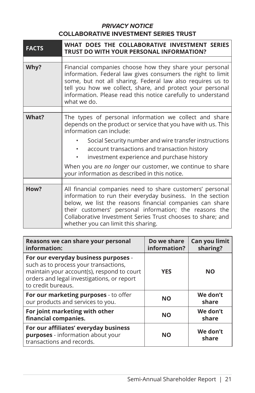### *PRIVACY NOTICE* **COLLABORATIVE INVESTMENT SERIES TRUST**

| <b>FACTS</b> | WHAT DOES THE COLLABORATIVE INVESTMENT SERIES<br>TRUST DO WITH YOUR PERSONAL INFORMATION?                                                                                                                                                                                                                                                                                                                                     |
|--------------|-------------------------------------------------------------------------------------------------------------------------------------------------------------------------------------------------------------------------------------------------------------------------------------------------------------------------------------------------------------------------------------------------------------------------------|
|              |                                                                                                                                                                                                                                                                                                                                                                                                                               |
| Why?         | Financial companies choose how they share your personal<br>information. Federal law gives consumers the right to limit<br>some, but not all sharing. Federal law also requires us to<br>tell you how we collect, share, and protect your personal<br>information. Please read this notice carefully to understand<br>what we do.                                                                                              |
|              |                                                                                                                                                                                                                                                                                                                                                                                                                               |
| What?        | The types of personal information we collect and share<br>depends on the product or service that you have with us. This<br>information can include:<br>Social Security number and wire transfer instructions<br>account transactions and transaction history<br>investment experience and purchase history<br>٠<br>When you are no longer our customer, we continue to share<br>your information as described in this notice. |
|              |                                                                                                                                                                                                                                                                                                                                                                                                                               |
| How?         | All financial companies need to share customers' personal<br>information to run their everyday business. In the section<br>below, we list the reasons financial companies can share<br>their customers' personal information; the reasons the<br>Collaborative Investment Series Trust chooses to share; and<br>whether you can limit this sharing.                                                                           |

| Reasons we can share your personal<br>information:                                                                                                                                              | Do we share<br>information? | Can you limit<br>sharing? |
|-------------------------------------------------------------------------------------------------------------------------------------------------------------------------------------------------|-----------------------------|---------------------------|
| For our everyday business purposes -<br>such as to process your transactions,<br>maintain your account(s), respond to court<br>orders and legal investigations, or report<br>to credit bureaus. | <b>YES</b>                  | <b>NO</b>                 |
| For our marketing purposes - to offer<br>our products and services to you.                                                                                                                      | <b>NO</b>                   | We don't<br>share         |
| For joint marketing with other<br>financial companies.                                                                                                                                          | <b>NO</b>                   | We don't<br>share         |
| For our affiliates' everyday business<br>purposes - information about your<br>transactions and records.                                                                                         | NΟ                          | We don't<br>share         |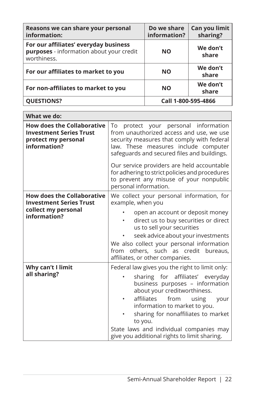| Reasons we can share your personal<br>information:                                               | Do we share<br>information? | Can you limit<br>sharing? |
|--------------------------------------------------------------------------------------------------|-----------------------------|---------------------------|
| For our affiliates' everyday business<br>purposes - information about your credit<br>worthiness. | <b>NO</b>                   | We don't<br>share         |
| For our affiliates to market to you                                                              | <b>NO</b>                   | We don't<br>share         |
| For non-affiliates to market to you                                                              | <b>NO</b>                   | We don't<br>share         |
| <b>QUESTIONS?</b>                                                                                |                             | Call 1-800-595-4866       |

| What we do:                                                                                                |                                                                                                                                                                                                                                                                                                                                                                            |
|------------------------------------------------------------------------------------------------------------|----------------------------------------------------------------------------------------------------------------------------------------------------------------------------------------------------------------------------------------------------------------------------------------------------------------------------------------------------------------------------|
| <b>How does the Collaborative</b><br><b>Investment Series Trust</b><br>protect my personal<br>information? | protect your personal information<br>To<br>from unauthorized access and use, we use<br>security measures that comply with federal<br>law. These measures include computer<br>safeguards and secured files and buildings.                                                                                                                                                   |
|                                                                                                            | Our service providers are held accountable<br>for adhering to strict policies and procedures<br>to prevent any misuse of your nonpublic<br>personal information.                                                                                                                                                                                                           |
| <b>How does the Collaborative</b><br><b>Investment Series Trust</b><br>collect my personal<br>information? | We collect your personal information, for<br>example, when you<br>open an account or deposit money<br>direct us to buy securities or direct<br>us to sell your securities<br>seek advice about your investments                                                                                                                                                            |
|                                                                                                            | We also collect your personal information<br>from others, such as credit bureaus,<br>affiliates, or other companies.                                                                                                                                                                                                                                                       |
| Why can't I limit<br>all sharing?                                                                          | Federal law gives you the right to limit only:<br>sharing for affiliates' everyday<br>business purposes - information<br>about your creditworthiness.<br>affiliates<br>from<br>using<br>your<br>information to market to you.<br>sharing for nonaffiliates to market<br>to you.<br>State laws and individual companies may<br>give you additional rights to limit sharing. |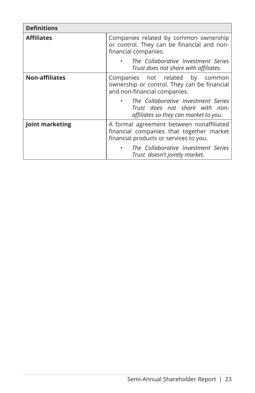| <b>Definitions</b>    |                                                                                                                                |  |
|-----------------------|--------------------------------------------------------------------------------------------------------------------------------|--|
| <b>Affiliates</b>     | Companies related by common ownership<br>or control. They can be financial and non-<br>financial companies.                    |  |
|                       | The Collaborative Investment Series<br>Trust does not share with affiliates.                                                   |  |
| <b>Non-affiliates</b> | Companies not related by<br>common<br>ownership or control. They can be financial<br>and non-financial companies.              |  |
|                       | The Collaborative Investment Series<br>Trust does not share with non-<br>affiliates so they can market to you.                 |  |
| Joint marketing       | A formal agreement between nonaffiliated<br>financial companies that together market<br>financial products or services to you. |  |
|                       | The Collaborative Investment Series<br>Trust doesn't jointly market.                                                           |  |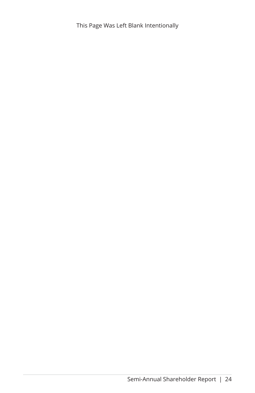This Page Was Left Blank Intentionally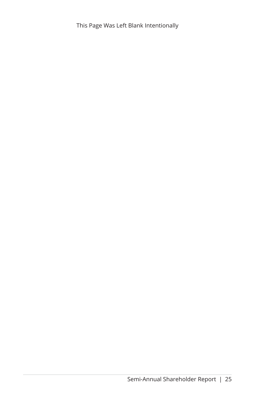This Page Was Left Blank Intentionally